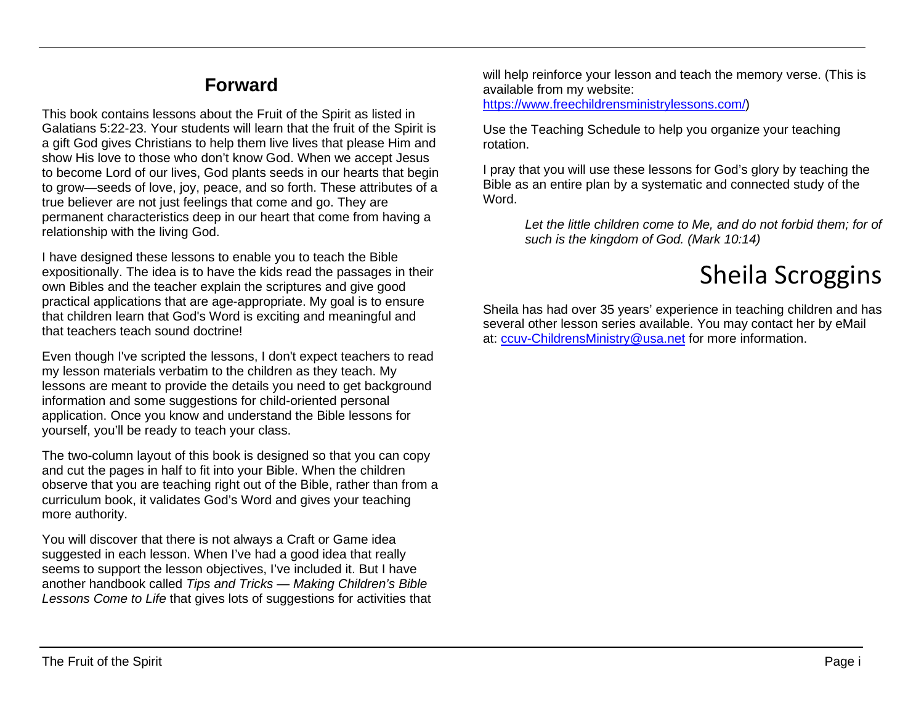## **Forward**

This book contains lessons about the Fruit of the Spirit as listed in Galatians 5:22-23. Your students will learn that the fruit of the Spirit is a gift God gives Christians to help them live lives that please Him and show His love to those who don't know God. When we accept Jesus to become Lord of our lives, God plants seeds in our hearts that begin to grow—seeds of love, joy, peace, and so forth. These attributes of a true believer are not just feelings that come and go. They are permanent characteristics deep in our heart that come from having a relationship with the living God.

I have designed these lessons to enable you to teach the Bible expositionally. The idea is to have the kids read the passages in their own Bibles and the teacher explain the scriptures and give good practical applications that are age-appropriate. My goal is to ensure that children learn that God's Word is exciting and meaningful and that teachers teach sound doctrine!

Even though I've scripted the lessons, I don't expect teachers to read my lesson materials verbatim to the children as they teach. My lessons are meant to provide the details you need to get background information and some suggestions for child-oriented personal application. Once you know and understand the Bible lessons for yourself, you'll be ready to teach your class.

The two-column layout of this book is designed so that you can copy and cut the pages in half to fit into your Bible. When the children observe that you are teaching right out of the Bible, rather than from a curriculum book, it validates God's Word and gives your teaching more authority.

You will discover that there is not always a Craft or Game idea suggested in each lesson. When I've had a good idea that really seems to support the lesson objectives, I've included it. But I have another handbook called *Tips and Tricks — Making Children's Bible Lessons Come to Life* that gives lots of suggestions for activities that will help reinforce your lesson and teach the memory verse. (This is available from my website:

[https://www.freechildrensministrylessons.com/\)](https://www.freechildrensministrylessons.com/)

Use the Teaching Schedule to help you organize your teaching rotation.

I pray that you will use these lessons for God's glory by teaching the Bible as an entire plan by a systematic and connected study of the Word.

*Let the little children come to Me, and do not forbid them; for of such is the kingdom of God. (Mark 10:14)*

## Sheila Scroggins

Sheila has had over 35 years' experience in teaching children and has several other lesson series available. You may contact her by eMail at: [ccuv-ChildrensMinistry@usa.net](mailto:ccuv-ChildrensMinistry@usa.net) for more information.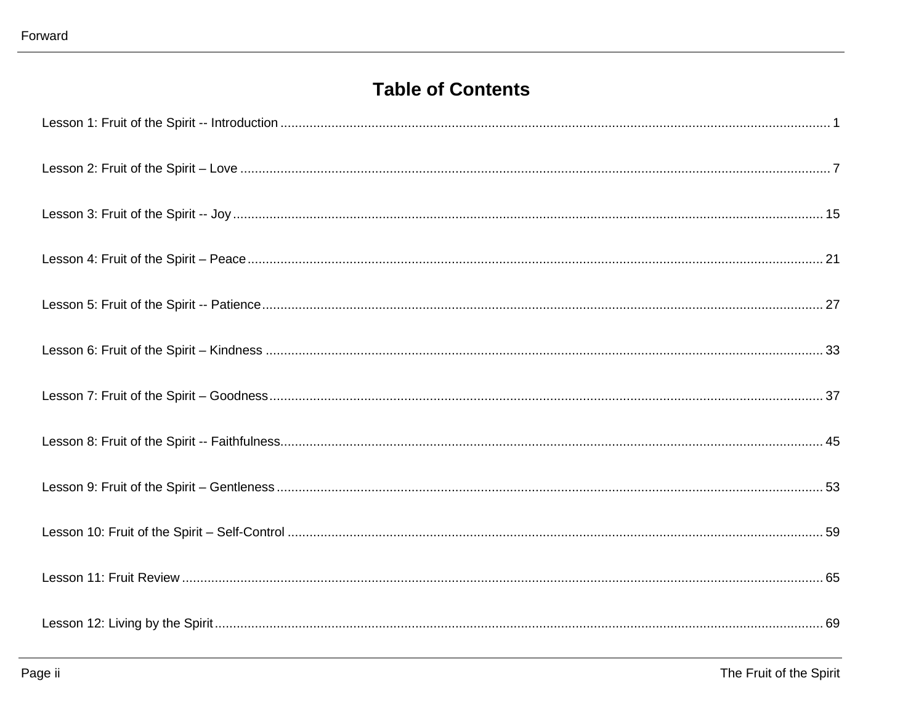## **Table of Contents**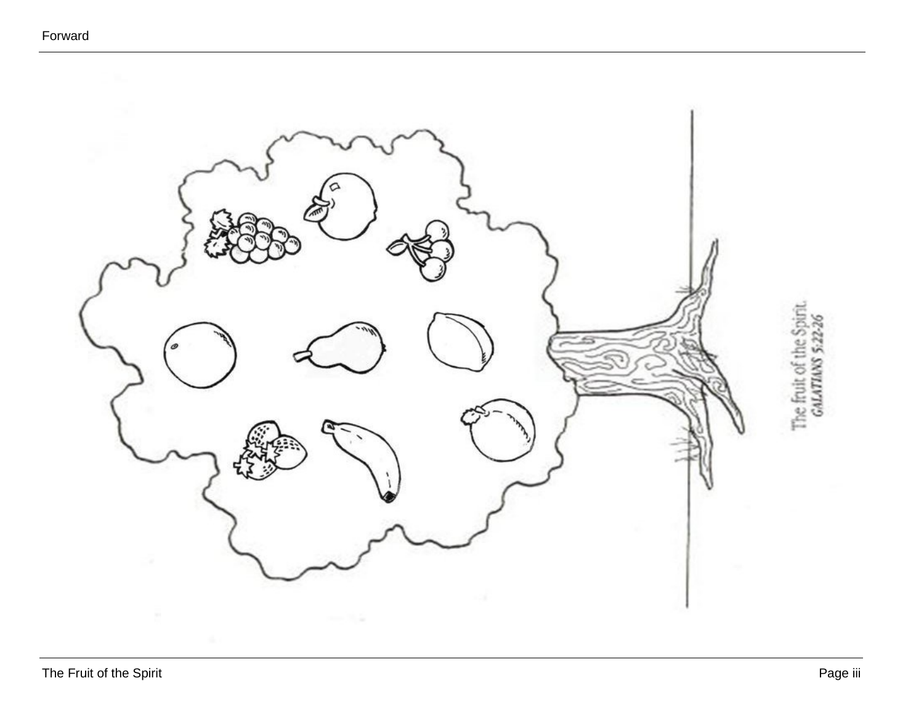